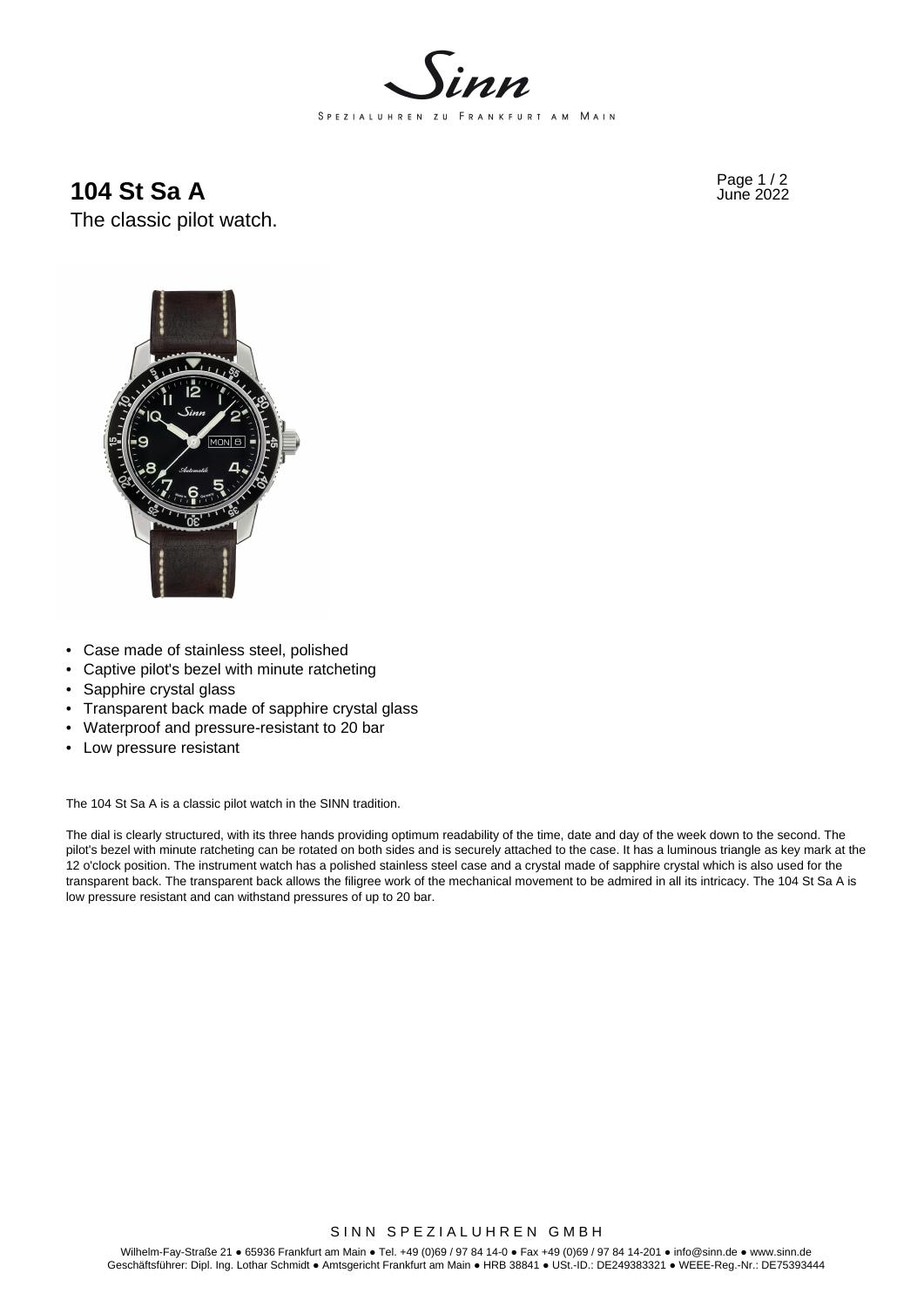

**104 St Sa A** Page 1/2

The classic pilot watch.



- Case made of stainless steel, polished
- Captive pilot's bezel with minute ratcheting
- Sapphire crystal glass
- Transparent back made of sapphire crystal glass
- Waterproof and pressure-resistant to 20 bar
- Low pressure resistant

The 104 St Sa A is a classic pilot watch in the SINN tradition.

The dial is clearly structured, with its three hands providing optimum readability of the time, date and day of the week down to the second. The pilot's bezel with minute ratcheting can be rotated on both sides and is securely attached to the case. It has a luminous triangle as key mark at the 12 o'clock position. The instrument watch has a polished stainless steel case and a crystal made of sapphire crystal which is also used for the transparent back. The transparent back allows the filigree work of the mechanical movement to be admired in all its intricacy. The 104 St Sa A is low pressure resistant and can withstand pressures of up to 20 bar.